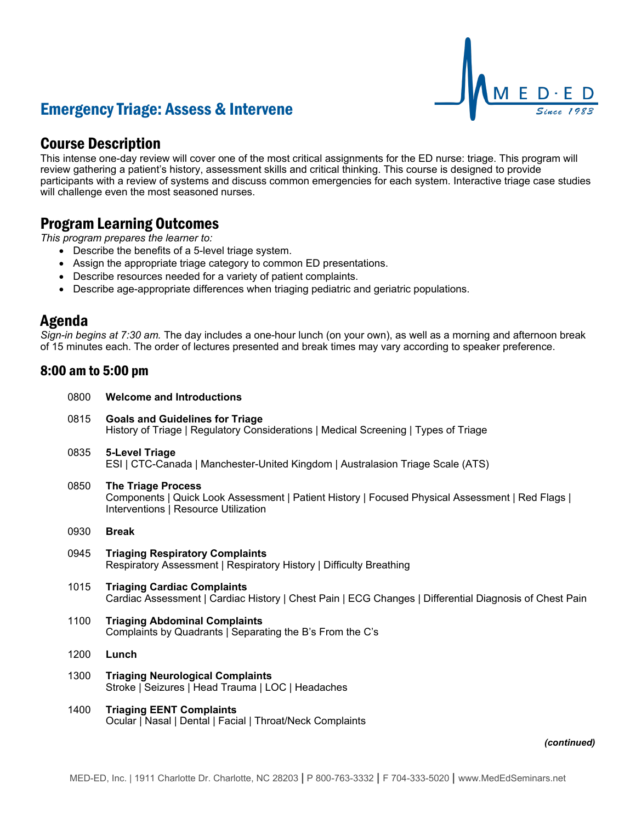

# Emergency Triage: Assess & Intervene

## Course Description

This intense one-day review will cover one of the most critical assignments for the ED nurse: triage. This program will review gathering a patient's history, assessment skills and critical thinking. This course is designed to provide participants with a review of systems and discuss common emergencies for each system. Interactive triage case studies will challenge even the most seasoned nurses.

## Program Learning Outcomes

*This program prepares the learner to:*

- Describe the benefits of a 5-level triage system.
- Assign the appropriate triage category to common ED presentations.
- Describe resources needed for a variety of patient complaints.
- Describe age-appropriate differences when triaging pediatric and geriatric populations.

## Agenda

*Sign-in begins at 7:30 am.* The day includes a one-hour lunch (on your own), as well as a morning and afternoon break of 15 minutes each. The order of lectures presented and break times may vary according to speaker preference.

## 8:00 am to 5:00 pm

| 0800 | <b>Welcome and Introductions</b>                                                                                                                                      |
|------|-----------------------------------------------------------------------------------------------------------------------------------------------------------------------|
| 0815 | <b>Goals and Guidelines for Triage</b><br>History of Triage   Regulatory Considerations   Medical Screening   Types of Triage                                         |
| 0835 | 5-Level Triage<br>ESI   CTC-Canada   Manchester-United Kingdom   Australasion Triage Scale (ATS)                                                                      |
| 0850 | <b>The Triage Process</b><br>Components   Quick Look Assessment   Patient History   Focused Physical Assessment   Red Flags  <br>Interventions   Resource Utilization |
| 0930 | <b>Break</b>                                                                                                                                                          |
| 0945 | <b>Triaging Respiratory Complaints</b><br>Respiratory Assessment   Respiratory History   Difficulty Breathing                                                         |
| 1015 | <b>Triaging Cardiac Complaints</b><br>Cardiac Assessment   Cardiac History   Chest Pain   ECG Changes   Differential Diagnosis of Chest Pain                          |
| 1100 | <b>Triaging Abdominal Complaints</b><br>Complaints by Quadrants   Separating the B's From the C's                                                                     |
| 1200 | Lunch                                                                                                                                                                 |
| 1300 | <b>Triaging Neurological Complaints</b><br>Stroke   Seizures   Head Trauma   LOC   Headaches                                                                          |
| 1400 | <b>Triaging EENT Complaints</b><br>Ocular   Nasal   Dental   Facial   Throat/Neck Complaints                                                                          |
|      | <i>(continue</i>                                                                                                                                                      |